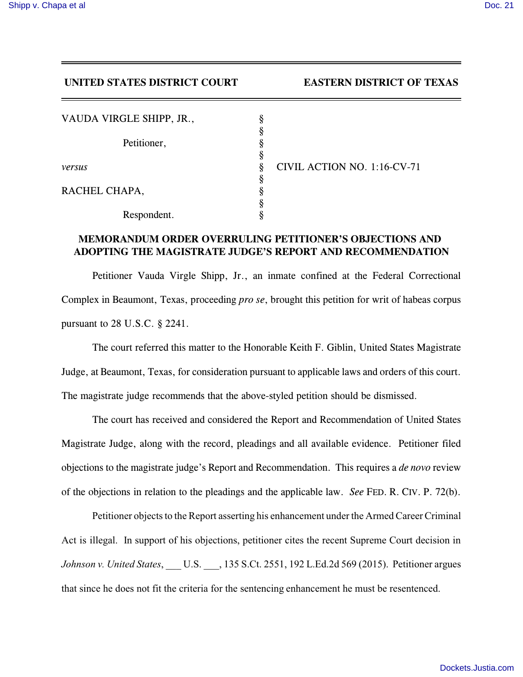## **UNITED STATES DISTRICT COURT EASTERN DISTRICT OF TEXAS**

| VAUDA VIRGLE SHIPP, JR., |   |            |
|--------------------------|---|------------|
|                          |   |            |
| Petitioner,              |   |            |
|                          | ş |            |
| versus                   | ş | <b>CIV</b> |
|                          |   |            |
| RACHEL CHAPA,            |   |            |
|                          |   |            |
| Respondent.              |   |            |

*IL ACTION NO. 1:16-CV-71* 

## **MEMORANDUM ORDER OVERRULING PETITIONER'S OBJECTIONS AND ADOPTING THE MAGISTRATE JUDGE'S REPORT AND RECOMMENDATION**

Petitioner Vauda Virgle Shipp, Jr., an inmate confined at the Federal Correctional Complex in Beaumont, Texas, proceeding *pro se*, brought this petition for writ of habeas corpus pursuant to 28 U.S.C. § 2241.

The court referred this matter to the Honorable Keith F. Giblin, United States Magistrate Judge, at Beaumont, Texas, for consideration pursuant to applicable laws and orders of this court. The magistrate judge recommends that the above-styled petition should be dismissed.

The court has received and considered the Report and Recommendation of United States Magistrate Judge, along with the record, pleadings and all available evidence. Petitioner filed objections to the magistrate judge's Report and Recommendation. This requires a *de novo* review of the objections in relation to the pleadings and the applicable law. *See* FED. R. CIV. P. 72(b).

Petitioner objects to the Report asserting his enhancement under the Armed Career Criminal Act is illegal. In support of his objections, petitioner cites the recent Supreme Court decision in *Johnson v. United States*, \_\_\_ U.S. \_\_\_, 135 S.Ct. 2551, 192 L.Ed.2d 569 (2015). Petitioner argues that since he does not fit the criteria for the sentencing enhancement he must be resentenced.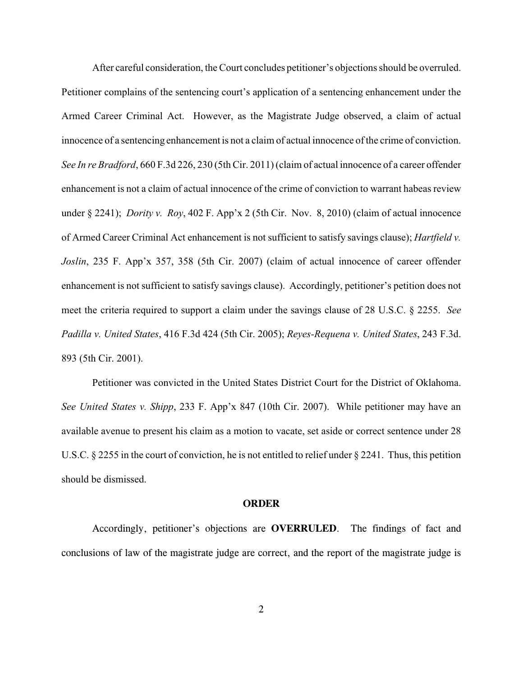After careful consideration, the Court concludes petitioner's objections should be overruled. Petitioner complains of the sentencing court's application of a sentencing enhancement under the Armed Career Criminal Act. However, as the Magistrate Judge observed, a claim of actual innocence of a sentencing enhancement is not a claim of actual innocence of the crime of conviction. *See In re Bradford*, 660 F.3d 226, 230 (5th Cir. 2011) (claim of actual innocence of a career offender enhancement is not a claim of actual innocence of the crime of conviction to warrant habeas review under § 2241); *Dority v. Roy*, 402 F. App'x 2 (5th Cir. Nov. 8, 2010) (claim of actual innocence of Armed Career Criminal Act enhancement is not sufficient to satisfy savings clause); *Hartfield v. Joslin*, 235 F. App'x 357, 358 (5th Cir. 2007) (claim of actual innocence of career offender enhancement is not sufficient to satisfy savings clause). Accordingly, petitioner's petition does not meet the criteria required to support a claim under the savings clause of 28 U.S.C. § 2255. *See Padilla v. United States*, 416 F.3d 424 (5th Cir. 2005); *Reyes-Requena v. United States*, 243 F.3d. 893 (5th Cir. 2001).

Petitioner was convicted in the United States District Court for the District of Oklahoma. *See United States v. Shipp*, 233 F. App'x 847 (10th Cir. 2007). While petitioner may have an available avenue to present his claim as a motion to vacate, set aside or correct sentence under 28 U.S.C. § 2255 in the court of conviction, he is not entitled to relief under § 2241. Thus, this petition should be dismissed.

## **ORDER**

Accordingly, petitioner's objections are **OVERRULED**. The findings of fact and conclusions of law of the magistrate judge are correct, and the report of the magistrate judge is